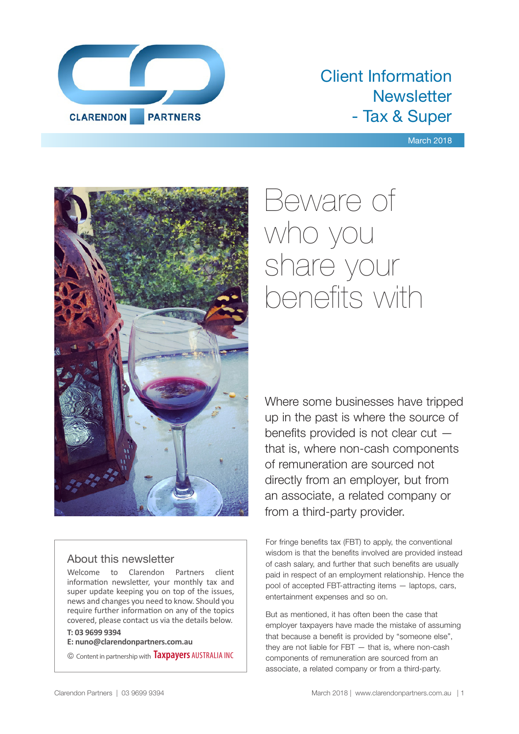

## Client Information **Newsletter** - Tax & Super

#### March 2018



#### About this newsletter

Welcome to Clarendon Partners client information newsletter, your monthly tax and super update keeping you on top of the issues, news and changes you need to know. Should you require further information on any of the topics covered, please contact us via the details below.

#### **T: 03 9699 9394**

**E: nuno@clarendonpartners.com.au**

© Content in partnership with **Taxpayers** AUSTRALIA INC

# Beware of who you share your benefits with

Where some businesses have tripped up in the past is where the source of benefits provided is not clear cut that is, where non-cash components of remuneration are sourced not directly from an employer, but from an associate, a related company or from a third-party provider.

For fringe benefits tax (FBT) to apply, the conventional wisdom is that the benefits involved are provided instead of cash salary, and further that such benefits are usually paid in respect of an employment relationship. Hence the pool of accepted FBT-attracting items — laptops, cars, entertainment expenses and so on.

But as mentioned, it has often been the case that employer taxpayers have made the mistake of assuming that because a benefit is provided by "someone else", they are not liable for FBT — that is, where non-cash components of remuneration are sourced from an associate, a related company or from a third-party.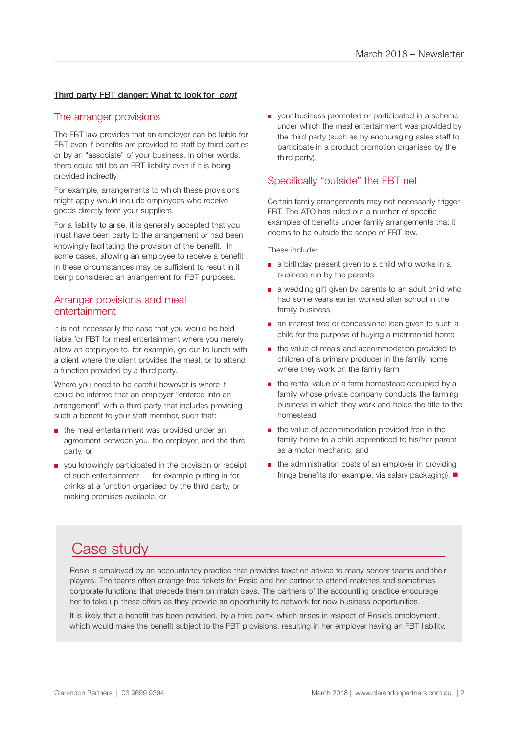#### Third party FBT danger: What to look for *cont*

#### The arranger provisions

The FBT law provides that an employer can be liable for FBT even if benefits are provided to staff by third parties or by an "associate" of your business. In other words, there could still be an FBT liability even if it is being provided indirectly.

For example, arrangements to which these provisions might apply would include employees who receive goods directly from your suppliers.

For a liability to arise, it is generally accepted that you must have been party to the arrangement or had been knowingly facilitating the provision of the benefit. In some cases, allowing an employee to receive a benefit in these circumstances may be sufficient to result in it being considered an arrangement for FBT purposes.

#### Arranger provisions and meal entertainment

It is not necessarily the case that you would be held liable for FBT for meal entertainment where you merely allow an employee to, for example, go out to lunch with a client where the client provides the meal, or to attend a function provided by a third party.

Where you need to be careful however is where it could be inferred that an employer "entered into an arrangement" with a third party that includes providing such a benefit to your staff member, such that:

- the meal entertainment was provided under an agreement between you, the employer, and the third party, or
- you knowingly participated in the provision or receipt of such entertainment — for example putting in for drinks at a function organised by the third party, or making premises available, or

■ your business promoted or participated in a scheme under which the meal entertainment was provided by the third party (such as by encouraging sales staff to participate in a product promotion organised by the third party).

#### Specifically "outside" the FBT net

Certain family arrangements may not necessarily trigger FBT. The ATO has ruled out a number of specific examples of benefits under family arrangements that it deems to be outside the scope of FBT law.

These include:

- a birthday present given to a child who works in a business run by the parents
- a wedding gift given by parents to an adult child who had some years earlier worked after school in the family business
- an interest-free or concessional loan given to such a child for the purpose of buying a matrimonial home
- the value of meals and accommodation provided to children of a primary producer in the family home where they work on the family farm
- the rental value of a farm homestead occupied by a family whose private company conducts the farming business in which they work and holds the title to the homestead
- the value of accommodation provided free in the family home to a child apprenticed to his/her parent as a motor mechanic, and
- the administration costs of an employer in providing fringe benefits (for example, via salary packaging).  $\blacksquare$

## Case study

Rosie is employed by an accountancy practice that provides taxation advice to many soccer teams and their players. The teams often arrange free tickets for Rosie and her partner to attend matches and sometimes corporate functions that precede them on match days. The partners of the accounting practice encourage her to take up these offers as they provide an opportunity to network for new business opportunities.

It is likely that a benefit has been provided, by a third party, which arises in respect of Rosie's employment, which would make the benefit subject to the FBT provisions, resulting in her employer having an FBT liability.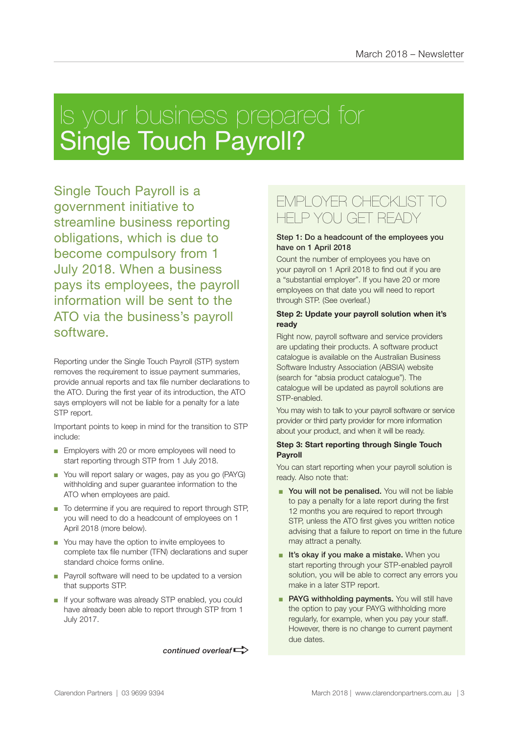# Is your business prepared for Single Touch Payroll?

Single Touch Payroll is a government initiative to streamline business reporting obligations, which is due to become compulsory from 1 July 2018. When a business pays its employees, the payroll information will be sent to the ATO via the business's payroll software.

Reporting under the Single Touch Payroll (STP) system removes the requirement to issue payment summaries, provide annual reports and tax file number declarations to the ATO. During the first year of its introduction, the ATO says employers will not be liable for a penalty for a late STP report.

Important points to keep in mind for the transition to STP include:

- Employers with 20 or more employees will need to start reporting through STP from 1 July 2018.
- You will report salary or wages, pay as you go (PAYG) withholding and super guarantee information to the ATO when employees are paid.
- To determine if you are required to report through STP, you will need to do a headcount of employees on 1 April 2018 (more below).
- You may have the option to invite employees to complete tax file number (TFN) declarations and super standard choice forms online.
- Payroll software will need to be updated to a version that supports STP.
- If your software was already STP enabled, you could have already been able to report through STP from 1 July 2017.

continued overleaf<sup>-</sup>

### EMPLOYER CHECKLIST TO HELP YOU GET READY

#### Step 1: Do a headcount of the employees you have on 1 April 2018

Count the number of employees you have on your payroll on 1 April 2018 to find out if you are a "substantial employer". If you have 20 or more employees on that date you will need to report through STP. (See overleaf.)

#### **Step 2: Update your payroll solution when it's ready**

Right now, payroll software and service providers are updating their products. A software product catalogue is available on the Australian Business Software Industry Association (ABSIA) website (search for "absia product catalogue"). The catalogue will be updated as payroll solutions are STP-enabled.

You may wish to talk to your payroll software or service provider or third party provider for more information about your product, and when it will be ready.

#### **Step 3: Start reporting through Single Touch Payroll**

You can start reporting when your payroll solution is ready. Also note that:

- You will not be penalised. You will not be liable to pay a penalty for a late report during the first 12 months you are required to report through STP, unless the ATO first gives you written notice advising that a failure to report on time in the future may attract a penalty.
- It's okay if you make a mistake. When you start reporting through your STP-enabled payroll solution, you will be able to correct any errors you make in a later STP report.
- PAYG withholding payments. You will still have the option to pay your PAYG withholding more regularly, for example, when you pay your staff. However, there is no change to current payment due dates.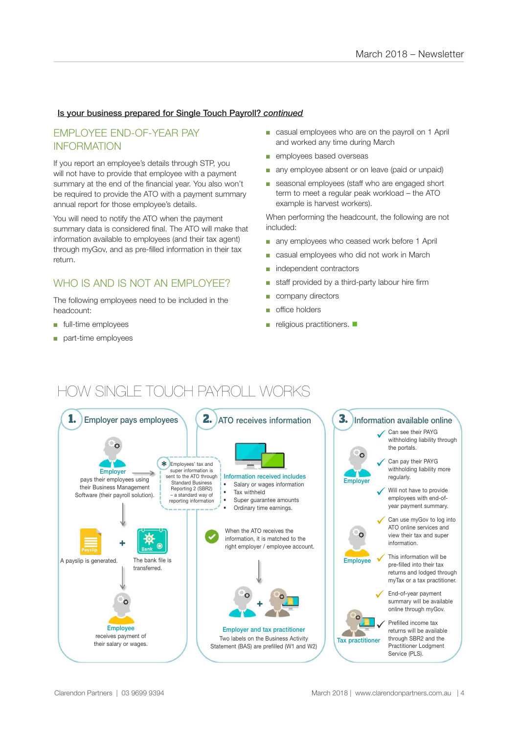#### Is your business prepared for Single Touch Payroll? *continued*

#### EMPLOYEE END-OF-YEAR PAY INFORMATION

If you report an employee's details through STP, you will not have to provide that employee with a payment summary at the end of the financial year. You also won't be required to provide the ATO with a payment summary annual report for those employee's details.

You will need to notify the ATO when the payment summary data is considered final. The ATO will make that information available to employees (and their tax agent) through myGov, and as pre-filled information in their tax return.

#### WHO IS AND IS NOT AN FMPLOYEE?

The following employees need to be included in the headcount:

- full-time employees
- part-time employees
- casual employees who are on the payroll on 1 April and worked any time during March
- employees based overseas
- any employee absent or on leave (paid or unpaid)
- seasonal employees (staff who are engaged short term to meet a regular peak workload – the ATO example is harvest workers).

When performing the headcount, the following are not included:

- any employees who ceased work before 1 April
- casual employees who did not work in March
- independent contractors
- staff provided by a third-party labour hire firm
- company directors
- office holders
- $\blacksquare$  religious practitioners.  $\blacksquare$

## HOW SINGLE TOUCH PAYROLL WORKS

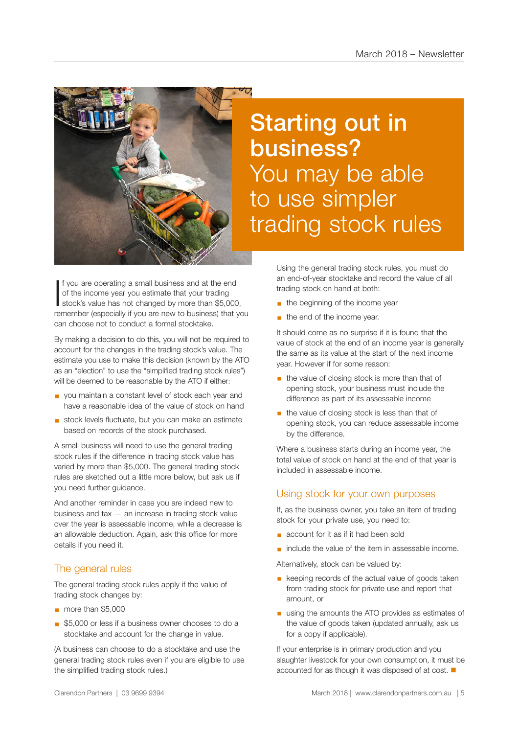

If you are operating a small business and at the end<br>of the income year you estimate that your trading<br>stock's value has not changed by more than \$5,000, f you are operating a small business and at the end of the income year you estimate that your trading remember (especially if you are new to business) that you can choose not to conduct a formal stocktake.

By making a decision to do this, you will not be required to account for the changes in the trading stock's value. The estimate you use to make this decision (known by the ATO as an "election" to use the "simplified trading stock rules") will be deemed to be reasonable by the ATO if either:

- you maintain a constant level of stock each year and have a reasonable idea of the value of stock on hand
- stock levels fluctuate, but you can make an estimate based on records of the stock purchased.

A small business will need to use the general trading stock rules if the difference in trading stock value has varied by more than \$5,000. The general trading stock rules are sketched out a little more below, but ask us if you need further guidance.

And another reminder in case you are indeed new to business and tax — an increase in trading stock value over the year is assessable income, while a decrease is an allowable deduction. Again, ask this office for more details if you need it.

#### The general rules

The general trading stock rules apply if the value of trading stock changes by:

- § more than \$5,000
- \$5,000 or less if a business owner chooses to do a stocktake and account for the change in value.

(A business can choose to do a stocktake and use the general trading stock rules even if you are eligible to use the simplified trading stock rules.)

# Starting out in business? You may be able to use simpler trading stock rules

Using the general trading stock rules, you must do an end-of-year stocktake and record the value of all trading stock on hand at both:

- **•** the beginning of the income year
- $\blacksquare$  the end of the income year.

It should come as no surprise if it is found that the value of stock at the end of an income year is generally the same as its value at the start of the next income year. However if for some reason:

- the value of closing stock is more than that of opening stock, your business must include the difference as part of its assessable income
- the value of closing stock is less than that of opening stock, you can reduce assessable income by the difference.

Where a business starts during an income year, the total value of stock on hand at the end of that year is included in assessable income.

#### Using stock for your own purposes

If, as the business owner, you take an item of trading stock for your private use, you need to:

- account for it as if it had been sold
- include the value of the item in assessable income.

Alternatively, stock can be valued by:

- keeping records of the actual value of goods taken from trading stock for private use and report that amount, or
- using the amounts the ATO provides as estimates of the value of goods taken (updated annually, ask us for a copy if applicable).

If your enterprise is in primary production and you slaughter livestock for your own consumption, it must be accounted for as though it was disposed of at cost.  $\blacksquare$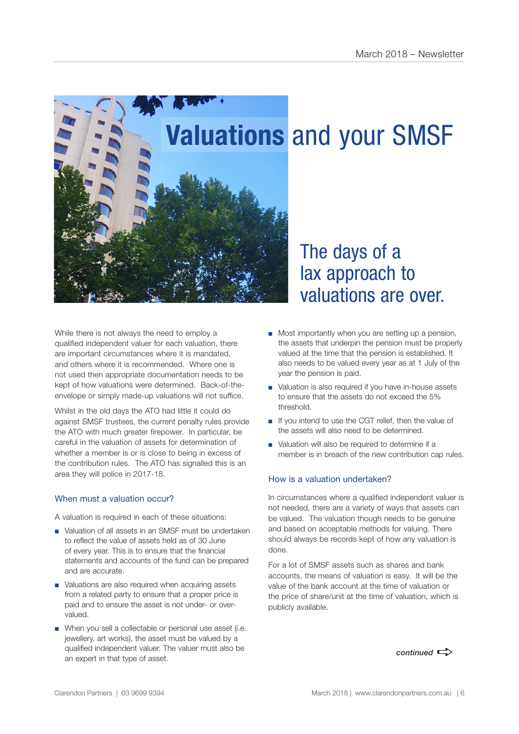

While there is not always the need to employ a qualified independent valuer for each valuation, there are important circumstances where it is mandated, and others where it is recommended. Where one is not used then appropriate documentation needs to be kept of how valuations were determined. Back-of-theenvelope or simply made-up valuations will not suffice.

Whilst in the old days the ATO had little it could do against SMSF trustees, the current penalty rules provide the ATO with much greater firepower. In particular, be careful in the valuation of assets for determination of whether a member is or is close to being in excess of the contribution rules. The ATO has signalled this is an area they will police in 2017-18.

#### When must a valuation occur?

A valuation is required in each of these situations:

- Valuation of all assets in an SMSF must be undertaken to reflect the value of assets held as of 30 June of every year. This is to ensure that the financial statements and accounts of the fund can be prepared and are accurate.
- Valuations are also required when acquiring assets from a related party to ensure that a proper price is paid and to ensure the asset is not under- or overvalued.
- When you sell a collectable or personal use asset (i.e. jewellery, art works), the asset must be valued by a qualified independent valuer. The valuer must also be an expert in that type of asset.

# valuations are over.

- Most importantly when you are setting up a pension, the assets that underpin the pension must be properly valued at the time that the pension is established. It also needs to be valued every year as at 1 July of the year the pension is paid.
- Valuation is also required if you have in-house assets to ensure that the assets do not exceed the 5% threshold.
- If you intend to use the CGT relief, then the value of the assets will also need to be determined.
- Valuation will also be required to determine if a member is in breach of the new contribution cap rules.

#### How is a valuation undertaken?

In circumstances where a qualified independent valuer is not needed, there are a variety of ways that assets can be valued. The valuation though needs to be genuine and based on acceptable methods for valuing. There should always be records kept of how any valuation is done.

For a lot of SMSF assets such as shares and bank accounts, the means of valuation is easy. It will be the value of the bank account at the time of valuation or the price of share/unit at the time of valuation, which is publicly available.

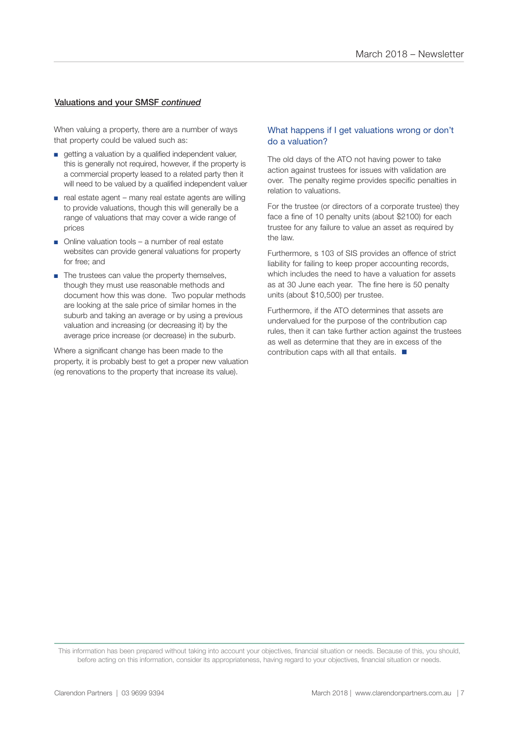#### Valuations and your SMSF *continued*

When valuing a property, there are a number of ways that property could be valued such as:

- getting a valuation by a qualified independent valuer, this is generally not required, however, if the property is a commercial property leased to a related party then it will need to be valued by a qualified independent valuer
- real estate agent many real estate agents are willing to provide valuations, though this will generally be a range of valuations that may cover a wide range of prices
- Online valuation tools a number of real estate websites can provide general valuations for property for free; and
- The trustees can value the property themselves, though they must use reasonable methods and document how this was done. Two popular methods are looking at the sale price of similar homes in the suburb and taking an average or by using a previous valuation and increasing (or decreasing it) by the average price increase (or decrease) in the suburb.

Where a significant change has been made to the property, it is probably best to get a proper new valuation (eg renovations to the property that increase its value).

#### What happens if I get valuations wrong or don't do a valuation?

The old days of the ATO not having power to take action against trustees for issues with validation are over. The penalty regime provides specific penalties in relation to valuations.

For the trustee (or directors of a corporate trustee) they face a fine of 10 penalty units (about \$2100) for each trustee for any failure to value an asset as required by the law.

Furthermore, s 103 of SIS provides an offence of strict liability for failing to keep proper accounting records, which includes the need to have a valuation for assets as at 30 June each year. The fine here is 50 penalty units (about \$10,500) per trustee.

Furthermore, if the ATO determines that assets are undervalued for the purpose of the contribution cap rules, then it can take further action against the trustees as well as determine that they are in excess of the contribution caps with all that entails.  $\blacksquare$ 

This information has been prepared without taking into account your objectives, financial situation or needs. Because of this, you should, before acting on this information, consider its appropriateness, having regard to your objectives, financial situation or needs.